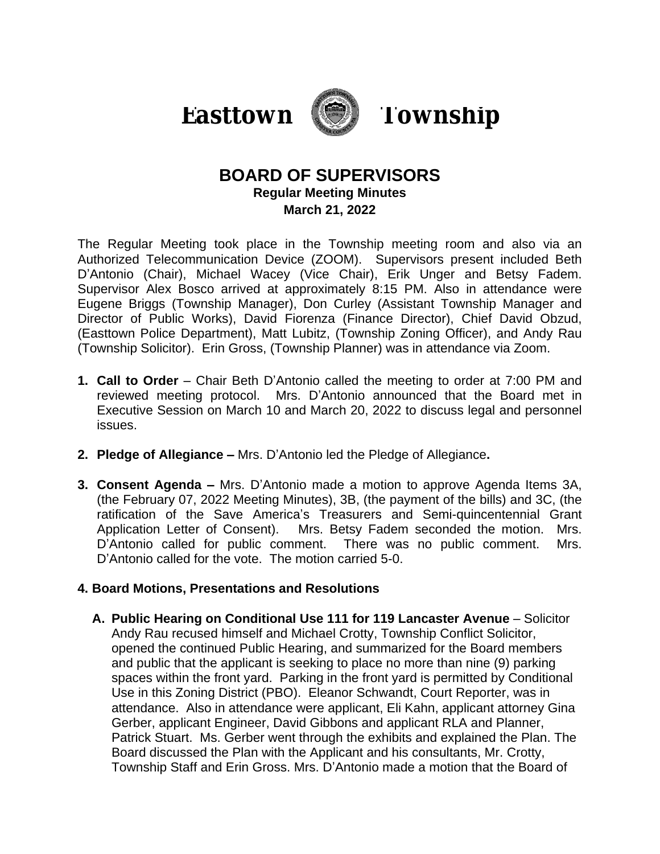



# **BOARD OF SUPERVISORS Regular Meeting Minutes March 21, 2022**

The Regular Meeting took place in the Township meeting room and also via an Authorized Telecommunication Device (ZOOM). Supervisors present included Beth D'Antonio (Chair), Michael Wacey (Vice Chair), Erik Unger and Betsy Fadem. Supervisor Alex Bosco arrived at approximately 8:15 PM. Also in attendance were Eugene Briggs (Township Manager), Don Curley (Assistant Township Manager and Director of Public Works), David Fiorenza (Finance Director), Chief David Obzud, (Easttown Police Department), Matt Lubitz, (Township Zoning Officer), and Andy Rau (Township Solicitor). Erin Gross, (Township Planner) was in attendance via Zoom.

- **1. Call to Order** Chair Beth D'Antonio called the meeting to order at 7:00 PM and reviewed meeting protocol. Mrs. D'Antonio announced that the Board met in Executive Session on March 10 and March 20, 2022 to discuss legal and personnel issues.
- **2. Pledge of Allegiance –** Mrs. D'Antonio led the Pledge of Allegiance**.**
- **3. Consent Agenda –** Mrs. D'Antonio made a motion to approve Agenda Items 3A, (the February 07, 2022 Meeting Minutes), 3B, (the payment of the bills) and 3C, (the ratification of the Save America's Treasurers and Semi-quincentennial Grant Application Letter of Consent). Mrs. Betsy Fadem seconded the motion. Mrs. D'Antonio called for public comment. There was no public comment. Mrs. D'Antonio called for the vote. The motion carried 5-0.

## **4. Board Motions, Presentations and Resolutions**

**A. Public Hearing on Conditional Use 111 for 119 Lancaster Avenue** – Solicitor Andy Rau recused himself and Michael Crotty, Township Conflict Solicitor, opened the continued Public Hearing, and summarized for the Board members and public that the applicant is seeking to place no more than nine (9) parking spaces within the front yard. Parking in the front yard is permitted by Conditional Use in this Zoning District (PBO). Eleanor Schwandt, Court Reporter, was in attendance. Also in attendance were applicant, Eli Kahn, applicant attorney Gina Gerber, applicant Engineer, David Gibbons and applicant RLA and Planner, Patrick Stuart. Ms. Gerber went through the exhibits and explained the Plan. The Board discussed the Plan with the Applicant and his consultants, Mr. Crotty, Township Staff and Erin Gross. Mrs. D'Antonio made a motion that the Board of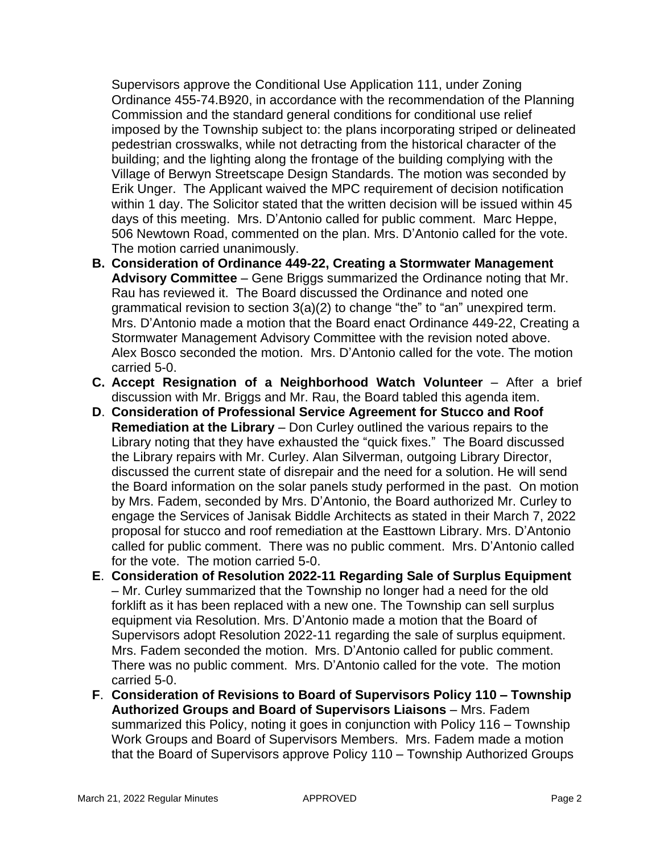Supervisors approve the Conditional Use Application 111, under Zoning Ordinance 455-74.B920, in accordance with the recommendation of the Planning Commission and the standard general conditions for conditional use relief imposed by the Township subject to: the plans incorporating striped or delineated pedestrian crosswalks, while not detracting from the historical character of the building; and the lighting along the frontage of the building complying with the Village of Berwyn Streetscape Design Standards. The motion was seconded by Erik Unger. The Applicant waived the MPC requirement of decision notification within 1 day. The Solicitor stated that the written decision will be issued within 45 days of this meeting. Mrs. D'Antonio called for public comment. Marc Heppe, 506 Newtown Road, commented on the plan. Mrs. D'Antonio called for the vote. The motion carried unanimously.

- **B. Consideration of Ordinance 449-22, Creating a Stormwater Management Advisory Committee** – Gene Briggs summarized the Ordinance noting that Mr. Rau has reviewed it. The Board discussed the Ordinance and noted one grammatical revision to section 3(a)(2) to change "the" to "an" unexpired term. Mrs. D'Antonio made a motion that the Board enact Ordinance 449-22, Creating a Stormwater Management Advisory Committee with the revision noted above. Alex Bosco seconded the motion. Mrs. D'Antonio called for the vote. The motion carried 5-0.
- **C. Accept Resignation of a Neighborhood Watch Volunteer** After a brief discussion with Mr. Briggs and Mr. Rau, the Board tabled this agenda item.
- **D**. **Consideration of Professional Service Agreement for Stucco and Roof Remediation at the Library** – Don Curley outlined the various repairs to the Library noting that they have exhausted the "quick fixes." The Board discussed the Library repairs with Mr. Curley. Alan Silverman, outgoing Library Director, discussed the current state of disrepair and the need for a solution. He will send the Board information on the solar panels study performed in the past. On motion by Mrs. Fadem, seconded by Mrs. D'Antonio, the Board authorized Mr. Curley to engage the Services of Janisak Biddle Architects as stated in their March 7, 2022 proposal for stucco and roof remediation at the Easttown Library. Mrs. D'Antonio called for public comment. There was no public comment. Mrs. D'Antonio called for the vote. The motion carried 5-0.
- **E**. **Consideration of Resolution 2022-11 Regarding Sale of Surplus Equipment** – Mr. Curley summarized that the Township no longer had a need for the old forklift as it has been replaced with a new one. The Township can sell surplus equipment via Resolution. Mrs. D'Antonio made a motion that the Board of Supervisors adopt Resolution 2022-11 regarding the sale of surplus equipment. Mrs. Fadem seconded the motion. Mrs. D'Antonio called for public comment. There was no public comment. Mrs. D'Antonio called for the vote. The motion carried 5-0.
- **F**. **Consideration of Revisions to Board of Supervisors Policy 110 – Township Authorized Groups and Board of Supervisors Liaisons** – Mrs. Fadem summarized this Policy, noting it goes in conjunction with Policy 116 – Township Work Groups and Board of Supervisors Members. Mrs. Fadem made a motion that the Board of Supervisors approve Policy 110 – Township Authorized Groups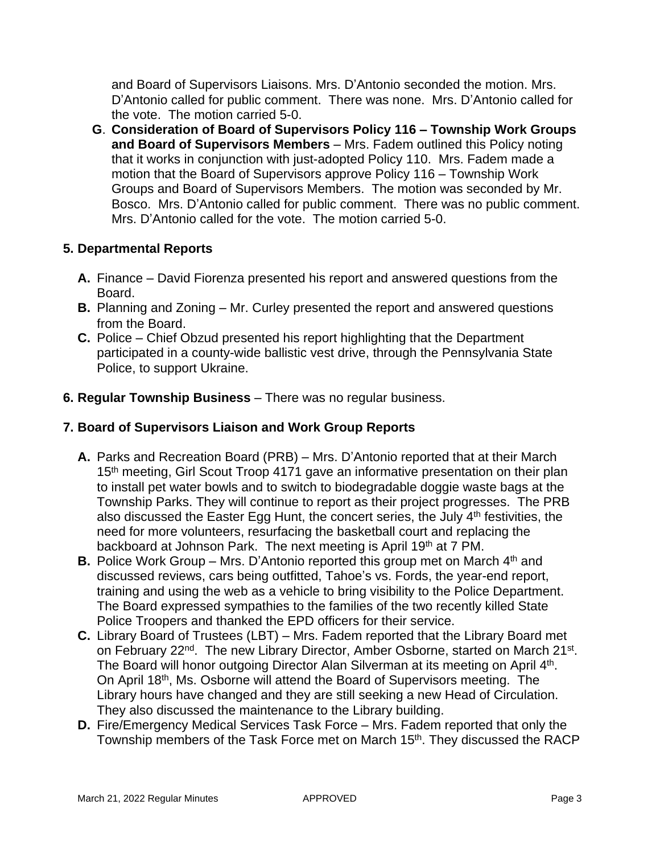and Board of Supervisors Liaisons. Mrs. D'Antonio seconded the motion. Mrs. D'Antonio called for public comment. There was none. Mrs. D'Antonio called for the vote. The motion carried 5-0.

**G**. **Consideration of Board of Supervisors Policy 116 – Township Work Groups and Board of Supervisors Members** – Mrs. Fadem outlined this Policy noting that it works in conjunction with just-adopted Policy 110. Mrs. Fadem made a motion that the Board of Supervisors approve Policy 116 – Township Work Groups and Board of Supervisors Members. The motion was seconded by Mr. Bosco. Mrs. D'Antonio called for public comment. There was no public comment. Mrs. D'Antonio called for the vote. The motion carried 5-0.

## **5. Departmental Reports**

- **A.** Finance David Fiorenza presented his report and answered questions from the Board.
- **B.** Planning and Zoning Mr. Curley presented the report and answered questions from the Board.
- **C.** Police Chief Obzud presented his report highlighting that the Department participated in a county-wide ballistic vest drive, through the Pennsylvania State Police, to support Ukraine.
- **6. Regular Township Business** There was no regular business.

# **7. Board of Supervisors Liaison and Work Group Reports**

- **A.** Parks and Recreation Board (PRB) Mrs. D'Antonio reported that at their March 15<sup>th</sup> meeting, Girl Scout Troop 4171 gave an informative presentation on their plan to install pet water bowls and to switch to biodegradable doggie waste bags at the Township Parks. They will continue to report as their project progresses. The PRB also discussed the Easter Egg Hunt, the concert series, the July  $4<sup>th</sup>$  festivities, the need for more volunteers, resurfacing the basketball court and replacing the backboard at Johnson Park. The next meeting is April 19th at 7 PM.
- **B.** Police Work Group Mrs. D'Antonio reported this group met on March 4<sup>th</sup> and discussed reviews, cars being outfitted, Tahoe's vs. Fords, the year-end report, training and using the web as a vehicle to bring visibility to the Police Department. The Board expressed sympathies to the families of the two recently killed State Police Troopers and thanked the EPD officers for their service.
- **C.** Library Board of Trustees (LBT) Mrs. Fadem reported that the Library Board met on February 22<sup>nd</sup>. The new Library Director, Amber Osborne, started on March 21<sup>st</sup>. The Board will honor outgoing Director Alan Silverman at its meeting on April 4<sup>th</sup>. On April 18<sup>th</sup>, Ms. Osborne will attend the Board of Supervisors meeting. The Library hours have changed and they are still seeking a new Head of Circulation. They also discussed the maintenance to the Library building.
- **D.** Fire/Emergency Medical Services Task Force Mrs. Fadem reported that only the Township members of the Task Force met on March 15<sup>th</sup>. They discussed the RACP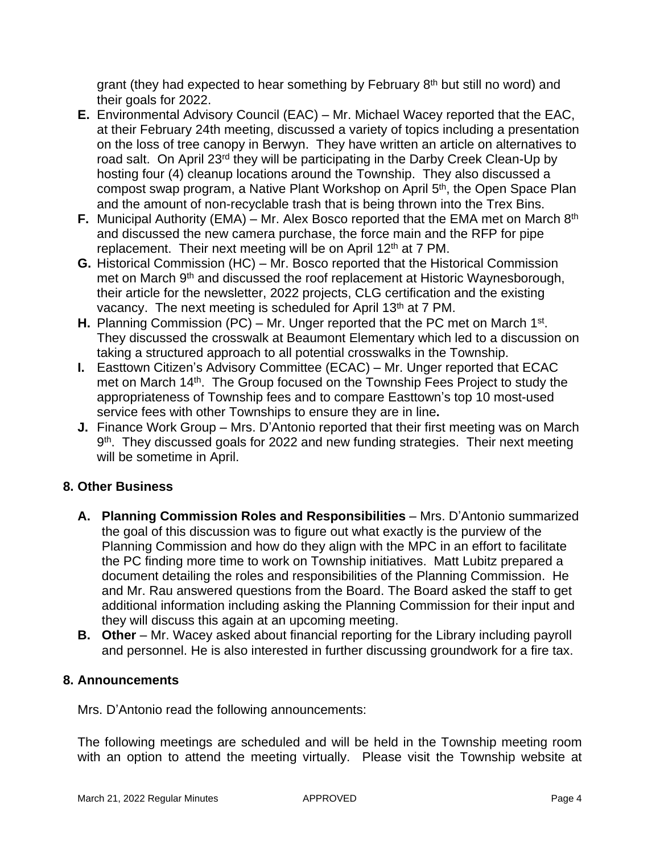grant (they had expected to hear something by February 8<sup>th</sup> but still no word) and their goals for 2022.

- **E.** Environmental Advisory Council (EAC) Mr. Michael Wacey reported that the EAC, at their February 24th meeting, discussed a variety of topics including a presentation on the loss of tree canopy in Berwyn. They have written an article on alternatives to road salt. On April 23<sup>rd</sup> they will be participating in the Darby Creek Clean-Up by hosting four (4) cleanup locations around the Township. They also discussed a compost swap program, a Native Plant Workshop on April 5<sup>th</sup>, the Open Space Plan and the amount of non-recyclable trash that is being thrown into the Trex Bins.
- **F.** Municipal Authority (EMA) Mr. Alex Bosco reported that the EMA met on March 8<sup>th</sup> and discussed the new camera purchase, the force main and the RFP for pipe replacement. Their next meeting will be on April 12<sup>th</sup> at 7 PM.
- **G.** Historical Commission (HC) Mr. Bosco reported that the Historical Commission met on March 9<sup>th</sup> and discussed the roof replacement at Historic Waynesborough, their article for the newsletter, 2022 projects, CLG certification and the existing vacancy. The next meeting is scheduled for April 13<sup>th</sup> at 7 PM.
- H. Planning Commission (PC) Mr. Unger reported that the PC met on March 1<sup>st</sup>. They discussed the crosswalk at Beaumont Elementary which led to a discussion on taking a structured approach to all potential crosswalks in the Township.
- **I.** Easttown Citizen's Advisory Committee (ECAC) Mr. Unger reported that ECAC met on March 14<sup>th</sup>. The Group focused on the Township Fees Project to study the appropriateness of Township fees and to compare Easttown's top 10 most-used service fees with other Townships to ensure they are in line**.**
- **J.** Finance Work Group Mrs. D'Antonio reported that their first meeting was on March 9<sup>th</sup>. They discussed goals for 2022 and new funding strategies. Their next meeting will be sometime in April.

## **8. Other Business**

- **A. Planning Commission Roles and Responsibilities** Mrs. D'Antonio summarized the goal of this discussion was to figure out what exactly is the purview of the Planning Commission and how do they align with the MPC in an effort to facilitate the PC finding more time to work on Township initiatives. Matt Lubitz prepared a document detailing the roles and responsibilities of the Planning Commission. He and Mr. Rau answered questions from the Board. The Board asked the staff to get additional information including asking the Planning Commission for their input and they will discuss this again at an upcoming meeting.
- **B.** Other Mr. Wacey asked about financial reporting for the Library including payroll and personnel. He is also interested in further discussing groundwork for a fire tax.

### **8. Announcements**

Mrs. D'Antonio read the following announcements:

The following meetings are scheduled and will be held in the Township meeting room with an option to attend the meeting virtually. Please visit the Township website at